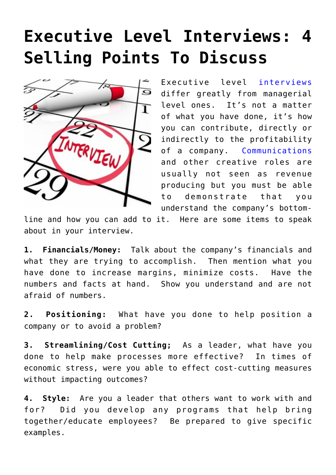## **[Executive Level Interviews: 4](https://www.commpro.biz/executive-level-interviews-4-selling-points-to-discuss/) [Selling Points To Discuss](https://www.commpro.biz/executive-level-interviews-4-selling-points-to-discuss/)**



Executive level [interviews](https://www.commpro.biz/hiring-hub-blog/) differ greatly from managerial level ones. It's not a matter of what you have done, it's how you can contribute, directly or indirectly to the profitability of a company. [Communications](https://www.commpro.biz/corporate-communications-section/) and other creative roles are usually not seen as revenue producing but you must be able to demonstrate that you understand the company's bottom-

line and how you can add to it. Here are some items to speak about in your interview.

**1. Financials/Money:** Talk about the company's financials and what they are trying to accomplish. Then mention what you have done to increase margins, minimize costs. Have the numbers and facts at hand. Show you understand and are not afraid of numbers.

**2. Positioning:** What have you done to help position a company or to avoid a problem?

**3. Streamlining/Cost Cutting;** As a leader, what have you done to help make processes more effective? In times of economic stress, were you able to effect cost-cutting measures without impacting outcomes?

**4. Style:** Are you a leader that others want to work with and for? Did you develop any programs that help bring together/educate employees? Be prepared to give specific examples.